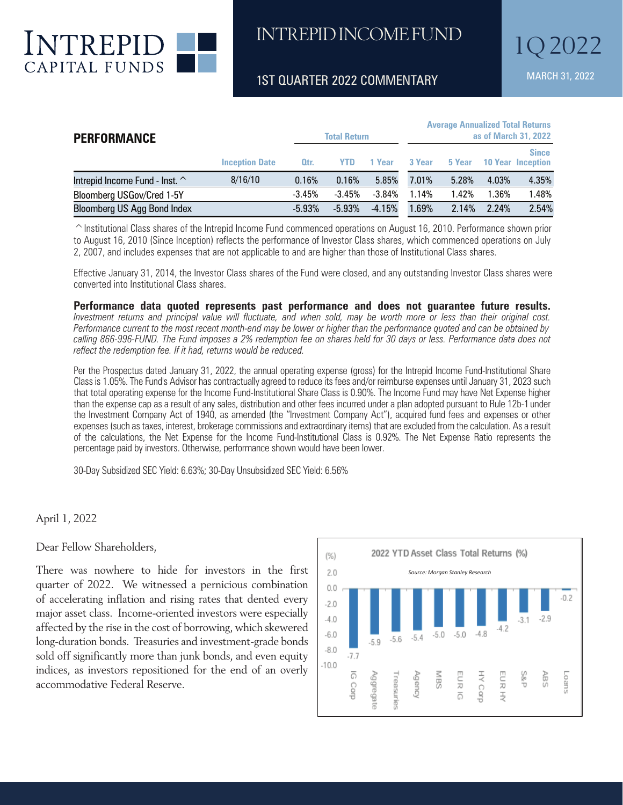

#### 1ST QUARTER 2022 COMMENTARY MARCH 31, 2022

| <b>PERFORMANCE</b>             |                       | <b>Total Return</b> |          |          | <b>Average Annualized Total Returns</b><br>as of March 31, 2022 |        |         |                           |
|--------------------------------|-----------------------|---------------------|----------|----------|-----------------------------------------------------------------|--------|---------|---------------------------|
|                                | <b>Inception Date</b> | Qtr.                | YTD.     | 1 Year   | 3 Year                                                          | 5 Year | 10 Year | <b>Since</b><br>Inception |
| Intrepid Income Fund - Inst. ^ | 8/16/10               | 0.16%               | 0.16%    | 5.85%    | 7.01%                                                           | 5.28%  | 4.03%   | 4.35%                     |
| Bloomberg USGov/Cred 1-5Y      |                       | $-3.45%$            | $-3.45%$ | $-3.84%$ | 1.14%                                                           | 1.42%  | 1.36%   | 1.48%                     |
| Bloomberg US Agg Bond Index    |                       | $-5.93%$            | $-5.93%$ | $-4.15%$ | 1.69%                                                           | 2.14%  | 2.24%   | 2.54%                     |

 $\degree$ Institutional Class shares of the Intrepid Income Fund commenced operations on August 16, 2010. Performance shown prior to August 16, 2010 (Since Inception) reflects the performance of Investor Class shares, which commenced operations on July 2, 2007, and includes expenses that are not applicable to and are higher than those of Institutional Class shares.

Effective January 31, 2014, the Investor Class shares of the Fund were closed, and any outstanding Investor Class shares were converted into Institutional Class shares.

**Performance data quoted represents past performance and does not guarantee future results.**  *Investment returns and principal value will fluctuate, and when sold, may be worth more or less than their original cost. Performance current to the most recent month-end may be lower or higher than the performance quoted and can be obtained by calling 866-996-FUND. The Fund imposes a 2% redemption fee on shares held for 30 days or less. Performance data does not reflect the redemption fee. If it had, returns would be reduced.*

Per the Prospectus dated January 31, 2022, the annual operating expense (gross) for the Intrepid Income Fund-Institutional Share Class is 1.05%. The Fund's Advisor has contractually agreed to reduce its fees and/or reimburse expenses until January 31, 2023 such that total operating expense for the Income Fund-Institutional Share Class is 0.90%. The Income Fund may have Net Expense higher than the expense cap as a result of any sales, distribution and other fees incurred under a plan adopted pursuant to Rule 12b-1 under the Investment Company Act of 1940, as amended (the "Investment Company Act"), acquired fund fees and expenses or other expenses (such as taxes, interest, brokerage commissions and extraordinary items) that are excluded from the calculation. As a result of the calculations, the Net Expense for the Income Fund-Institutional Class is 0.92%. The Net Expense Ratio represents the percentage paid by investors. Otherwise, performance shown would have been lower.

30-Day Subsidized SEC Yield: 6.63%; 30-Day Unsubsidized SEC Yield: 6.56%

April 1, 2022

Dear Fellow Shareholders,

There was nowhere to hide for investors in the first quarter of 2022. We witnessed a pernicious combination of accelerating inflation and rising rates that dented every major asset class. Income-oriented investors were especially affected by the rise in the cost of borrowing, which skewered long-duration bonds. Treasuries and investment-grade bonds sold off significantly more than junk bonds, and even equity indices, as investors repositioned for the end of an overly accommodative Federal Reserve.  $t \rightarrow 1/1/2$ where to hide for investors in the first  $\frac{1}{2}$ 



a normalized environment. Take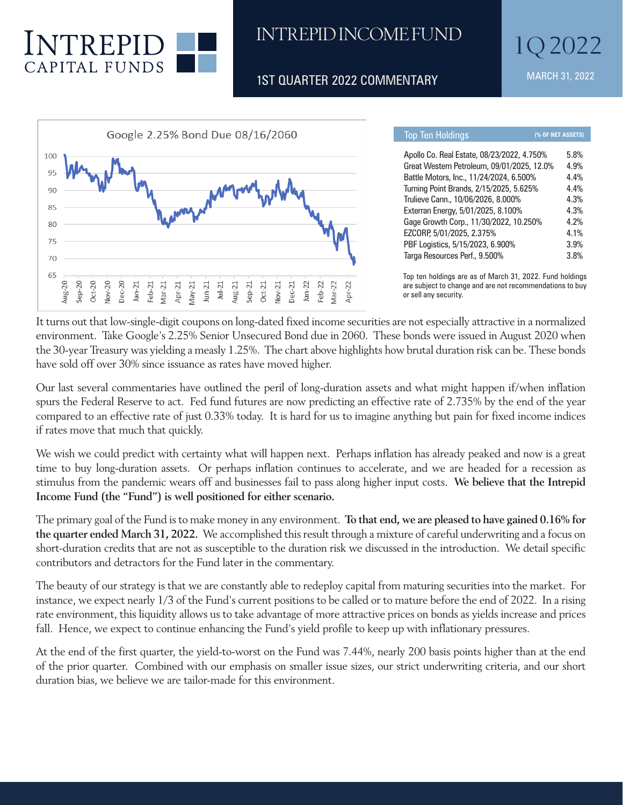

rise in the cost of borrowing, which skewered long-duration bonds. Treasuries

## INTREPID INCOME FUND

1ST OUARTER 2022 COMMENTARY MARCH 31, 2022



| <b>Top Ten Holdings</b>                    | (% OF NET ASSETS) |
|--------------------------------------------|-------------------|
| Apollo Co. Real Estate, 08/23/2022, 4.750% | 5.8%              |
| Great Western Petroleum, 09/01/2025, 12.0% | 4.9%              |
| Battle Motors, Inc., 11/24/2024, 6.500%    | 4.4%              |
| Turning Point Brands, 2/15/2025, 5.625%    | 4.4%              |
| Trulieve Cann., 10/06/2026, 8.000%         | 4.3%              |
| Exterran Energy, 5/01/2025, 8.100%         | 4.3%              |
| Gage Growth Corp., 11/30/2022, 10.250%     | 4.2%              |
| EZCORP, 5/01/2025, 2.375%                  | 4.1%              |
| PBF Logistics, 5/15/2023, 6.900%           | 3.9%              |
| Targa Resources Perf., 9.500%              | 3.8%              |

Top ten holdings are as of March 31, 2022. Fund holdings are subject to change and are not recommendations to buy<br>or sell any security. or sell any security.

It turns out that low-single-digit coupons on long-dated fixed income securities are not especially attractive in a normalized environment. Take Google's 2.25% Senior Unsecured Bond due in 2060. These bonds were issued in August 2020 when the 30-year Treasury was yielding a measly 1.25%. The chart above highlights how brutal duration risk can be. These bonds<br>. have sold off over 30% since issuance as rates have moved higher.

Our last several commentaries have outlined the peril of long-duration assets and what might happen if/when inflation spurs the Federal Reserve to act. Fed fund futures are now predicting an effective rate of 2.735% by the end of the year compared to an effective rate of just 0.33% today. It is hard for us to imagine anything but pain for fixed income indices if rates move that much that quickly.

We wish we could predict with certainty what will happen next. Perhaps inflation has already peaked and now is a great time to buy long-duration assets. Or perhaps inflation continues to accelerate, and we are headed for a recession as stimulus from the pandemic wears off and businesses fail to pass along higher input costs. We believe that the Intrepid **Income Fund (the "Fund") is well positioned for either scenario.**

The primary goal of the Fund is to make money in any environment. To that end, we are pleased to have gained  $0.16\%$  for the quarter ended March 31, 2022. We accomplished this result through a mixture of careful underwriting and a focus on short-duration credits that are not as susceptible to the duration risk we discussed in the introduction. We detail specific contributors and detractors for the Fund later in the commentary.

The beauty of our strategy is that we are constantly able to redeploy capital from maturing securities into the market. For instance, we expect nearly 1/3 of the Fund's current positions to be called or to mature before the end of 2022. In a rising rate environment, this liquidity allows us to take advantage of more attractive prices on bonds as yields increase and prices fall. Hence, we expect to continue enhancing the Fund's yield profile to keep up with inflationary pressures.

At the end of the first quarter, the yield-to-worst on the Fund was 7.44%, nearly 200 basis points higher than at the end of the prior quarter. Combined with our emphasis on smaller issue sizes, our strict underwriting criteria, and our short duration bias, we believe we are tailor-made for this environment.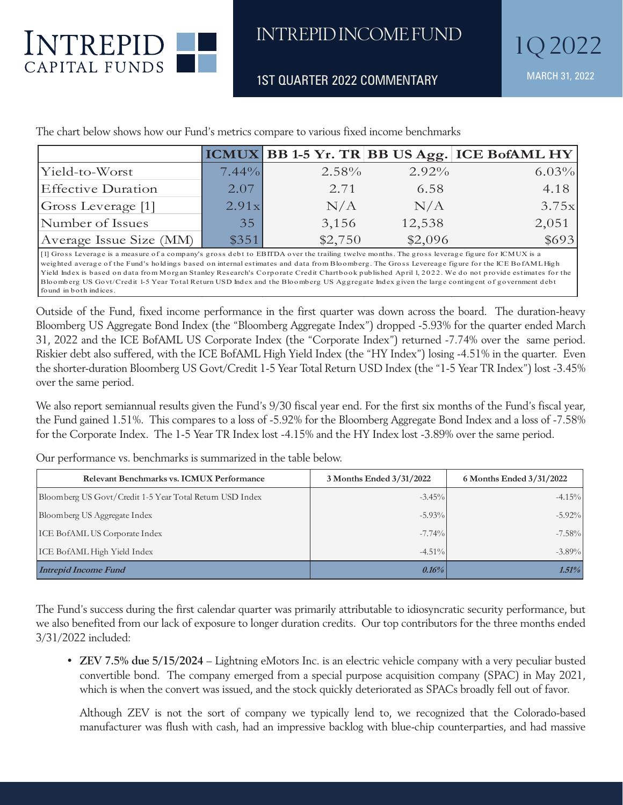

we are tailor-made for this environment.

Turning Point Brands, 2/15/2025, 5.625% 4.4% Trulieve Cann., 10/06/2026, 8.000% 4.3%

to change and are not recommendations to buy or sell any security.

1ST QUARTER 2022 COMMENTARY MARCH 31, 2022 Top ten holdings are as of March 31, 2022. Fund holdings are subjected and the subjection of  $\mathbb{R}^n$ 

|                           |       |          |          | ICMUX BB 1-5 Yr. TR BB US Agg. ICE BofAML HY |
|---------------------------|-------|----------|----------|----------------------------------------------|
| Yield-to-Worst            | 7.44% | $2.58\%$ | $2.92\%$ | 6.03%                                        |
| <b>Effective Duration</b> | 2.07  | 2.71     | 6.58     | 4.18                                         |
| Gross Leverage [1]        | 2.91x | N/A      | N/A      | 3.75x                                        |
| Number of Issues          | 35    | 3,156    | 12,538   | 2,051                                        |
| Average Issue Size (MM)   | \$351 | \$2,750  | \$2,096  | \$693                                        |

The chart below shows how our Fund's metrics compare to various fixed income benchmarks The chart below shows how our Fund's metrics compare to various fixed income benchmarks.

[1] Gross Leverage is a measure of a company's gross debt to EBITDA over the trailing twelve months. The gross leverage figure for ICMUX is a weighted average of the Fund's holdings based on internal estimates and data from Bloomberg. The Gross Levereage figure for the ICE BofAML High Yield Index is based on data from Morgan Stanley Research's Corporate Credit Chartbook published April 1, 2022. We do not provide estimates for the Bloomberg US Govt/Credit 1-5 Year Total Return USD Index and the Bloomberg US Aggregate Index given the large contingent of government debt found in both indices.

Outside of the Fund, fixed income performance in the first quarter was down across the board. The duration-heavy Outside of the Fund, fixed income performance in the first quarter was down across the board. The Bloomberg US Aggregate Bond Index (the "Bloomberg Aggregate Index") dropped -5.93% for the quarter ended March duration-heavy Bloomberg US Aggregate Bond Index (the "Bloomberg Aggregate Index") dropped - 31, 2022 and the ICE BofAML US Corporate Index (the "Corporate Index") returned -7.74% over the same period. Riskier debt also suffered, with the ICE BofAML High Yield Index (the "HY Index") losing -4.51% in the quarter. Even the shorter-duration Bloomberg US Govt/Credit 1-5 Year Total Return USD Index (the "1-5 Year TR Index") lost -3.45% over the same period.

We also report semiannual results given the Fund's 9/30 fiscal year end. For the first six months of the Fund's fiscal year, the Fund gained 1.51%. This compares to a loss of -5.92% for the Bloomberg Aggregate Bond Index and a loss of -7.58% for the Corporate Index. The 1-5 Year TR Index lost -4.15% and the HY Index lost -3.89% over the same period. over the same period. Bloomberg Aggregate Bond Index and a loss of -7.58% for the Corporate Index. The 1-5 Year TR

Our performance vs. benchmarks is summarized in the table below.

| Relevant Benchmarks vs. ICMUX Performance                | 3 Months Ended 3/31/2022 | 6 Months Ended 3/31/2022 |  |
|----------------------------------------------------------|--------------------------|--------------------------|--|
| Bloomberg US Govt/Credit 1-5 Year Total Return USD Index | $-3.45\%$                | $-4.15%$                 |  |
| Bloomberg US Aggregate Index                             | $-5.93%$                 | $-5.92\%$                |  |
| <b>ICE BofAML US Corporate Index</b>                     | $-7.74%$                 | $-7.58%$                 |  |
| ICE BofAML High Yield Index                              | $-4.51\%$                | $-3.89\%$                |  |
| <b>Intrepid Income Fund</b>                              | $0.16\%$                 | 1.51%                    |  |

The Fund's success during the first calendar quarter was primarily attributable to idiosyncratic security performance, but The T and B saccess daring the mot calcular quarter was primarily activitated to take greated security performance, but we also benefited from our lack of exposure to longer duration credits. Our top contributors for the t 3/31/2022 included: contributors for the three months ended 3/31/2022 included:

• **ZEV 7.5% due 5/15/2024** – Lightning eMotors Inc. is an electric vehicle company with a very peculiar busted • **ZEV 7.5% due 5/15/2024** – Lightning eMotors Inc. is an electric vehicle company with a very convertible bond. The company emerged from a special purpose acquisition company (SPAC) in May 2021, convertible bond. The company emerged from a special purpose acquisition company (31 AC) in way 202<br>which is when the convert was issued, and the stock quickly deteriorated as SPACs broadly fell out of favor. which is when the convert was issued, and the stock quickly deteriorated as STTTCs broadly fell out of favor.

Although ZEV is not the sort of company we typically lend to, we recognized that the Colorado-based manufacturer was flush with cash, had an impressive backlog with blue-chip counterparties, and had massive

counterparties, and had massive equity backers like BP Technology Ventures (the venture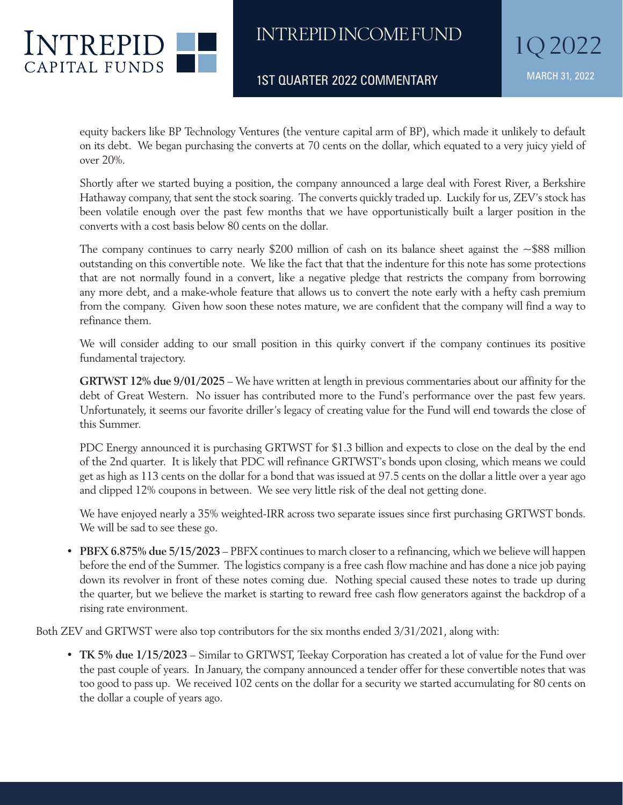

1ST QUARTER 2022 COMMENTARY MARCH 31, 2022

 equity backers like BP Technology Ventures (the venture capital arm of BP), which made it unlikely to default on its debt. We began purchasing the converts at 70 cents on the dollar, which equated to a very juicy yield of over 20%.

 Shortly after we started buying a position, the company announced a large deal with Forest River, a Berkshire Hathaway company, that sent the stock soaring. The converts quickly traded up. Luckily for us, ZEV's stock has been volatile enough over the past few months that we have opportunistically built a larger position in the converts with a cost basis below 80 cents on the dollar.

The company continues to carry nearly \$200 million of cash on its balance sheet against the  $\sim$  \$88 million outstanding on this convertible note. We like the fact that that the indenture for this note has some protections that are not normally found in a convert, like a negative pledge that restricts the company from borrowing any more debt, and a make-whole feature that allows us to convert the note early with a hefty cash premium from the company. Given how soon these notes mature, we are confident that the company will find a way to refinance them.

 We will consider adding to our small position in this quirky convert if the company continues its positive fundamental trajectory.

 **GRTWST 12% due 9/01/2025** – We have written at length in previous commentaries about our affinity for the debt of Great Western. No issuer has contributed more to the Fund's performance over the past few years. Unfortunately, it seems our favorite driller's legacy of creating value for the Fund will end towards the close of this Summer.

 PDC Energy announced it is purchasing GRTWST for \$1.3 billion and expects to close on the deal by the end of the 2nd quarter. It is likely that PDC will refinance GRTWST's bonds upon closing, which means we could get as high as 113 cents on the dollar for a bond that was issued at 97.5 cents on the dollar a little over a year ago and clipped 12% coupons in between. We see very little risk of the deal not getting done.

 We have enjoyed nearly a 35% weighted-IRR across two separate issues since first purchasing GRTWST bonds. We will be sad to see these go.

• **PBFX 6.875% due 5/15/2023** – PBFX continues to march closer to a refinancing, which we believe will happen before the end of the Summer. The logistics company is a free cash flow machine and has done a nice job paying down its revolver in front of these notes coming due. Nothing special caused these notes to trade up during the quarter, but we believe the market is starting to reward free cash flow generators against the backdrop of a rising rate environment.

Both ZEV and GRTWST were also top contributors for the six months ended 3/31/2021, along with:

• **TK 5% due 1/15/2023** – Similar to GRTWST, Teekay Corporation has created a lot of value for the Fund over the past couple of years. In January, the company announced a tender offer for these convertible notes that was too good to pass up. We received 102 cents on the dollar for a security we started accumulating for 80 cents on the dollar a couple of years ago.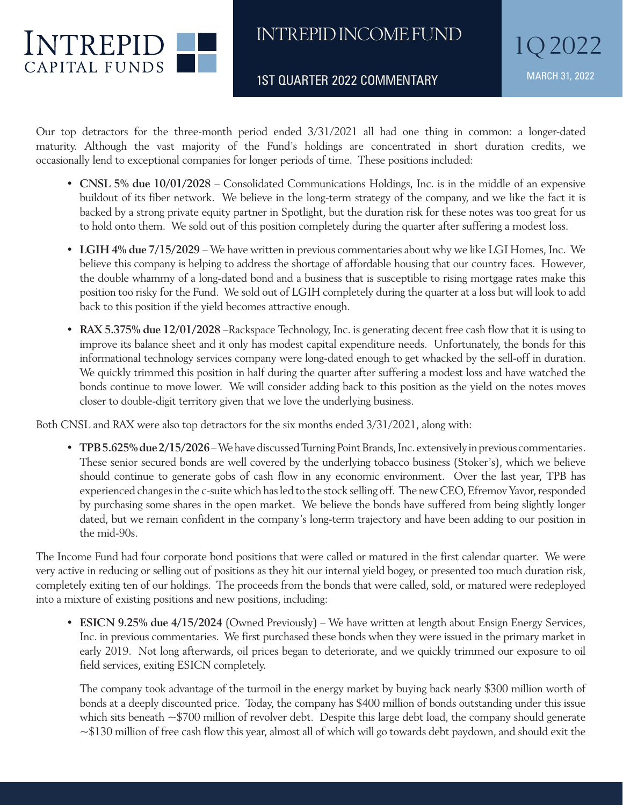

1ST QUARTER 2022 COMMENTARY MARCH 31, 2022

Our top detractors for the three-month period ended 3/31/2021 all had one thing in common: a longer-dated maturity. Although the vast majority of the Fund's holdings are concentrated in short duration credits, we occasionally lend to exceptional companies for longer periods of time. These positions included:

- **CNSL 5% due 10/01/2028** Consolidated Communications Holdings, Inc. is in the middle of an expensive buildout of its fiber network. We believe in the long-term strategy of the company, and we like the fact it is backed by a strong private equity partner in Spotlight, but the duration risk for these notes was too great for us to hold onto them. We sold out of this position completely during the quarter after suffering a modest loss.
- **LGIH 4% due 7/15/2029**  We have written in previous commentaries about why we like LGI Homes, Inc. We believe this company is helping to address the shortage of affordable housing that our country faces. However, the double whammy of a long-dated bond and a business that is susceptible to rising mortgage rates make this position too risky for the Fund. We sold out of LGIH completely during the quarter at a loss but will look to add back to this position if the yield becomes attractive enough.
- **RAX 5.375% due 12/01/2028** –Rackspace Technology, Inc. is generating decent free cash flow that it is using to improve its balance sheet and it only has modest capital expenditure needs. Unfortunately, the bonds for this informational technology services company were long-dated enough to get whacked by the sell-off in duration. We quickly trimmed this position in half during the quarter after suffering a modest loss and have watched the bonds continue to move lower. We will consider adding back to this position as the yield on the notes moves closer to double-digit territory given that we love the underlying business.

Both CNSL and RAX were also top detractors for the six months ended 3/31/2021, along with:

• **TPB 5.625% due 2/15/2026** – We have discussed Turning Point Brands, Inc. extensively in previous commentaries. These senior secured bonds are well covered by the underlying tobacco business (Stoker's), which we believe should continue to generate gobs of cash flow in any economic environment. Over the last year, TPB has experienced changes in the c-suite which has led to the stock selling off. The new CEO, Efremov Yavor, responded by purchasing some shares in the open market. We believe the bonds have suffered from being slightly longer dated, but we remain confident in the company's long-term trajectory and have been adding to our position in the mid-90s.

The Income Fund had four corporate bond positions that were called or matured in the first calendar quarter. We were very active in reducing or selling out of positions as they hit our internal yield bogey, or presented too much duration risk, completely exiting ten of our holdings. The proceeds from the bonds that were called, sold, or matured were redeployed into a mixture of existing positions and new positions, including:

• **ESICN 9.25% due 4/15/2024** (Owned Previously) – We have written at length about Ensign Energy Services, Inc. in previous commentaries. We first purchased these bonds when they were issued in the primary market in early 2019. Not long afterwards, oil prices began to deteriorate, and we quickly trimmed our exposure to oil field services, exiting ESICN completely.

 The company took advantage of the turmoil in the energy market by buying back nearly \$300 million worth of bonds at a deeply discounted price. Today, the company has \$400 million of bonds outstanding under this issue which sits beneath ~\$700 million of revolver debt. Despite this large debt load, the company should generate ~\$130 million of free cash flow this year, almost all of which will go towards debt paydown, and should exit the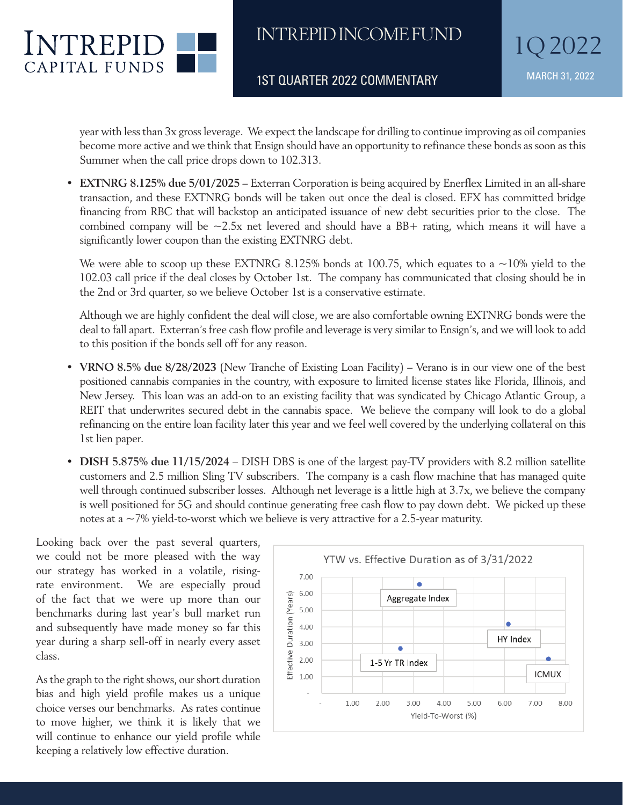

1ST QUARTER 2022 COMMENTARY MARCH 31, 2022

 year with less than 3x gross leverage. We expect the landscape for drilling to continue improving as oil companies become more active and we think that Ensign should have an opportunity to refinance these bonds as soon as this Summer when the call price drops down to 102.313.

• **EXTNRG** 8.125% due 5/01/2025 – Exterran Corporation is being acquired by Enerflex Limited in an all-share transaction, and these EXTNRG bonds will be taken out once the deal is closed. EFX has committed bridge financing from RBC that will backstop an anticipated issuance of new debt securities prior to the close. The combined company will be ~2.5x net levered and should have a BB+ rating, which means it will have a significantly lower coupon than the existing EXTNRG debt.

We were able to scoop up these EXTNRG 8.125% bonds at 100.75, which equates to a  $\sim$ 10% yield to the 102.03 call price if the deal closes by October 1st. The company has communicated that closing should be in the 2nd or 3rd quarter, so we believe October 1st is a conservative estimate.  $\epsilon$  is a conservative estimate.

Although we are highly confident the deal will close, we are also comfortable owning EXTNRG bonds were the deal to fall apart. Exterran's free cash flow profile and leverage is very similar to Ensign's, and we will look to add to this position if the bonds sell off for any reason. • **DISH 5.875% due 11/15/2024** – DISH DBS is one of the largest pay-TV providers with 8.2

- VRNO 8.5% due 8/28/2023 (New Tranche of Existing Loan Facility) Verano is in our view one of the best positioned cannabis companies in the country, with exposure to limited license states like Florida, Illinois, and  $\frac{1}{\sqrt{2}}$ New Jersey. This loan was an add-on to an existing facility that was syndicated by Chicago Atlantic Group, a REIT that underwrites secured debt in the cannabis space. We believe the company will look to do a global refinancing on the entire loan facility later this year and we feel well covered by the underlying collateral on this 1st lien paper. continue generation free cases into product the pay down debt. We provide the pay down debt. We provide the set of the set of the set of the set of the set of the set of the set of the set of the set of the set of the set
- **DISH 5.875% due 11/15/2024** DISH DBS is one of the largest pay-TV providers with 8.2 million satellite customers and 2.5 million Sling TV subscribers. The company is a cash flow machine that has managed quite well through continued subscriber losses. Although net leverage is a little high at 3.7x, we believe the company is well positioned for 5G and should continue generating free cash flow to pay down debt. We picked up these notes at a  $\sim$  7% yield-to-worst which we believe is very attractive for a 2.5-year maturity. more than our benchmarks during last year's bull market run and subsequently have made money so DBS is one of the largest pay-IV providers with 8.2

Looking back over the past several quarters, we could not be more pleased with the way our strategy has worked in a volatile, risingrate environment. We are especially proud of the fact that we were up more than our benchmarks during last year's bull market run and subsequently have made money so far this year during a sharp sell-off in nearly every asset class.

As the graph to the right shows, our short duration bias and high yield profile makes us a unique choice verses our benchmarks. As rates continue to move higher, we think it is likely that we will continue to enhance our yield profile while keeping a relatively low effective duration.

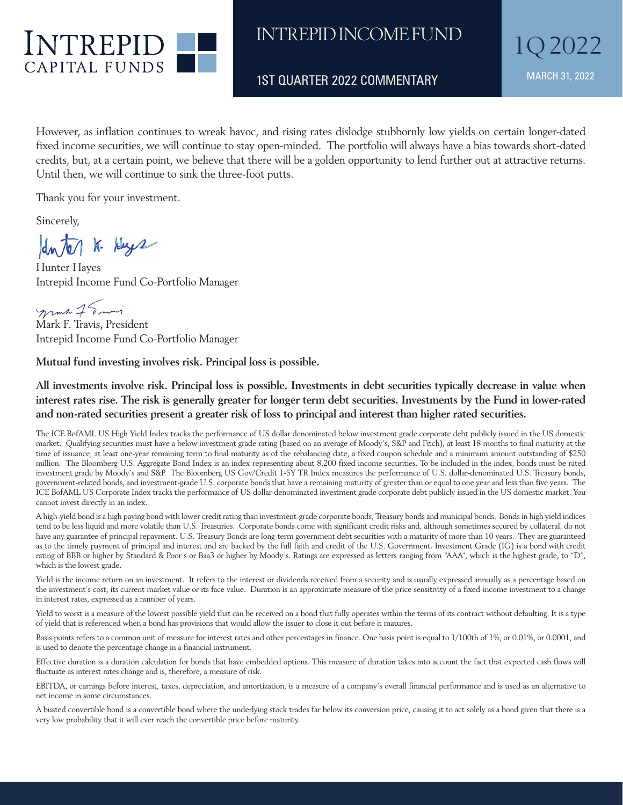

1ST QUARTER 2022 COMMENTARY MARCH 31, 2022

However, as inflation continues to wreak havoc, and rising rates dislodge stubbornly low yields on certain longer-dated fixed income securities, we will continue to stay open-minded. The portfolio will always have a bias towards short-dated credits, but, at a certain point, we believe that there will be a golden opportunity to lend further out at attractive returns. Until then, we will continue to sink the three-foot putts.

Thank you for your investment.

Sincerely,

duter K- Huge

Hunter Hayes Intrepid Income Fund Co-Portfolio Manager

mma 75 min

Mark F. Travis, President Intrepid Income Fund Co-Portfolio Manager

**Mutual fund investing involves risk. Principal loss is possible.**

**All investments involve risk. Principal loss is possible. Investments in debt securities typically decrease in value when interest rates rise. The risk is generally greater for longer term debt securities. Investments by the Fund in lower-rated and non-rated securities present a greater risk of loss to principal and interest than higher rated securities.** 

The ICE BofAML US High Yield Index tracks the performance of US dollar denominated below investment grade corporate debt publicly issued in the US domestic market. Qualifying securities must have a below investment grade rating (based on an average of Moody's, S&P and Fitch), at least 18 months to final maturity at the time of issuance, at least one-year remaining term to final maturity as of the rebalancing date, a fixed coupon schedule and a minimum amount outstanding of \$250 million. The Bloomberg U.S. Aggregate Bond Index is an index representing about 8,200 fixed income securities. To be included in the index, bonds must be rated investment grade by Moody's and S&P. The Bloomberg US Gov/Credit 1-5Y TR Index measures the performance of U.S. dollar-denominated U.S. Treasury bonds, government-related bonds, and investment-grade U.S. corporate bonds that have a remaining maturity of greater than or equal to one year and less than five years. The ICE BofAML US Corporate Index tracks the performance of US dollar-denominated investment grade corporate debt publicly issued in the US domestic market. You cannot invest directly in an index.

A high-yield bond is a high paying bond with lower credit rating than investment-grade corporate bonds, Treasury bonds and municipal bonds. Bonds in high yield indices tend to be less liquid and more volatile than U.S. Treasuries. Corporate bonds come with significant credit risks and, although sometimes secured by collateral, do not have any guarantee of principal repayment. U.S. Treasury Bonds are long-term government debt securities with a maturity of more than 10 years. They are guaranteed as to the timely payment of principal and interest and are backed by the full faith and credit of the U.S. Government. Investment Grade (IG) is a bond with credit rating of BBB or higher by Standard & Poor's or Baa3 or higher by Moody's. Ratings are expressed as letters ranging from "AAA", which is the highest grade, to "D", which is the lowest grade.

Yield is the income return on an investment. It refers to the interest or dividends received from a security and is usually expressed annually as a percentage based on the investment's cost, its current market value or its face value. Duration is an approximate measure of the price sensitivity of a fixed-income investment to a change in interest rates, expressed as a number of years.

Yield to worst is a measure of the lowest possible yield that can be received on a bond that fully operates within the terms of its contract without defaulting. It is a type of yield that is referenced when a bond has provisions that would allow the issuer to close it out before it matures.

Basis points refers to a common unit of measure for interest rates and other percentages in finance. One basis point is equal to 1/100th of 1%, or 0.01%, or 0.0001, and is used to denote the percentage change in a financial instrument.

Effective duration is a duration calculation for bonds that have embedded options. This measure of duration takes into account the fact that expected cash flows will fluctuate as interest rates change and is, therefore, a measure of risk.

EBITDA, or earnings before interest, taxes, depreciation, and amortization, is a measure of a company's overall financial performance and is used as an alternative to net income in some circumstances.

A busted convertible bond is a convertible bond where the underlying stock trades far below its conversion price, causing it to act solely as a bond given that there is a very low probability that it will ever reach the convertible price before maturity.